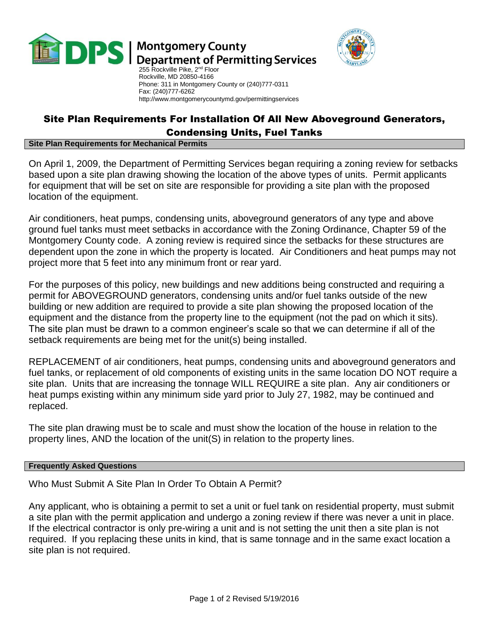

# **DPS** | Montgomery County<br>DPS | Department of Permitting Services



255 Rockville Pike, 2<sup>nd</sup> Floor Rockville, MD 20850-4166 Phone: 311 in Montgomery County or (240)777-0311 Fax: (240)777-6262 http://www.montgomerycountymd.gov/permittingservices

# Site Plan Requirements For Installation Of All New Aboveground Generators, Condensing Units, Fuel Tanks

#### **Site Plan Requirements for Mechanical Permits**

On April 1, 2009, the Department of Permitting Services began requiring a zoning review for setbacks based upon a site plan drawing showing the location of the above types of units. Permit applicants for equipment that will be set on site are responsible for providing a site plan with the proposed location of the equipment.

Air conditioners, heat pumps, condensing units, aboveground generators of any type and above ground fuel tanks must meet setbacks in accordance with the Zoning Ordinance, Chapter 59 of the Montgomery County code. A zoning review is required since the setbacks for these structures are dependent upon the zone in which the property is located. Air Conditioners and heat pumps may not project more that 5 feet into any minimum front or rear yard.

For the purposes of this policy, new buildings and new additions being constructed and requiring a permit for ABOVEGROUND generators, condensing units and/or fuel tanks outside of the new building or new addition are required to provide a site plan showing the proposed location of the equipment and the distance from the property line to the equipment (not the pad on which it sits). The site plan must be drawn to a common engineer's scale so that we can determine if all of the setback requirements are being met for the unit(s) being installed.

REPLACEMENT of air conditioners, heat pumps, condensing units and aboveground generators and fuel tanks, or replacement of old components of existing units in the same location DO NOT require a site plan. Units that are increasing the tonnage WILL REQUIRE a site plan. Any air conditioners or heat pumps existing within any minimum side yard prior to July 27, 1982, may be continued and replaced.

The site plan drawing must be to scale and must show the location of the house in relation to the property lines, AND the location of the unit(S) in relation to the property lines.

### **Frequently Asked Questions**

Who Must Submit A Site Plan In Order To Obtain A Permit?

Any applicant, who is obtaining a permit to set a unit or fuel tank on residential property, must submit a site plan with the permit application and undergo a zoning review if there was never a unit in place. If the electrical contractor is only pre-wiring a unit and is not setting the unit then a site plan is not required. If you replacing these units in kind, that is same tonnage and in the same exact location a site plan is not required.